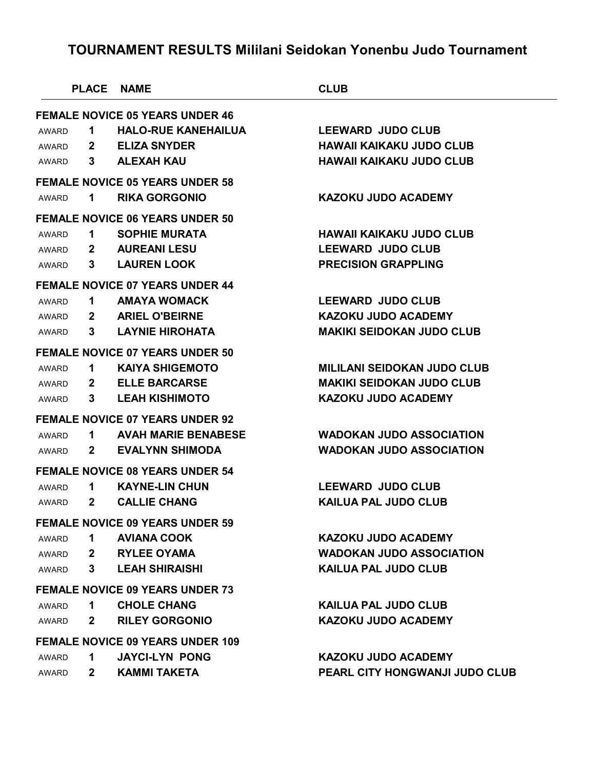|              | <b>PLACE NAME</b> |                                         | <b>CLUB</b>                        |  |
|--------------|-------------------|-----------------------------------------|------------------------------------|--|
|              |                   | <b>FEMALE NOVICE 05 YEARS UNDER 46</b>  |                                    |  |
| <b>AWARD</b> | $\mathbf 1$       | <b>HALO-RUE KANEHAILUA</b>              | <b>LEEWARD JUDO CLUB</b>           |  |
| AWARD        | $2^{\circ}$       | <b>ELIZA SNYDER</b>                     | <b>HAWAII KAIKAKU JUDO CLUB</b>    |  |
| AWARD        | 3                 | <b>ALEXAH KAU</b>                       | <b>HAWAII KAIKAKU JUDO CLUB</b>    |  |
|              |                   | <b>FEMALE NOVICE 05 YEARS UNDER 58</b>  |                                    |  |
| AWARD        | 1                 | <b>RIKA GORGONIO</b>                    | <b>KAZOKU JUDO ACADEMY</b>         |  |
|              |                   | <b>FEMALE NOVICE 06 YEARS UNDER 50</b>  |                                    |  |
| AWARD        | $\mathbf 1$       | <b>SOPHIE MURATA</b>                    | <b>HAWAII KAIKAKU JUDO CLUB</b>    |  |
| AWARD        |                   | 2 AUREANI LESU                          | <b>LEEWARD JUDO CLUB</b>           |  |
| AWARD        | 3                 | <b>LAUREN LOOK</b>                      | <b>PRECISION GRAPPLING</b>         |  |
|              |                   | <b>FEMALE NOVICE 07 YEARS UNDER 44</b>  |                                    |  |
| <b>AWARD</b> | $\mathbf 1$       | <b>AMAYA WOMACK</b>                     | <b>LEEWARD JUDO CLUB</b>           |  |
| AWARD        |                   | 2 ARIEL O'BEIRNE                        | <b>KAZOKU JUDO ACADEMY</b>         |  |
| AWARD        | 3                 | <b>LAYNIE HIROHATA</b>                  | <b>MAKIKI SEIDOKAN JUDO CLUB</b>   |  |
|              |                   | <b>FEMALE NOVICE 07 YEARS UNDER 50</b>  |                                    |  |
| AWARD        | $\mathbf 1$       | <b>KAIYA SHIGEMOTO</b>                  | <b>MILILANI SEIDOKAN JUDO CLUB</b> |  |
| AWARD        |                   | 2 ELLE BARCARSE                         | <b>MAKIKI SEIDOKAN JUDO CLUB</b>   |  |
| AWARD        | 3                 | <b>LEAH KISHIMOTO</b>                   | <b>KAZOKU JUDO ACADEMY</b>         |  |
|              |                   | <b>FEMALE NOVICE 07 YEARS UNDER 92</b>  |                                    |  |
| AWARD        | 1.                | <b>AVAH MARIE BENABESE</b>              | <b>WADOKAN JUDO ASSOCIATION</b>    |  |
| AWARD        | $\mathbf{2}$      | <b>EVALYNN SHIMODA</b>                  | <b>WADOKAN JUDO ASSOCIATION</b>    |  |
|              |                   | <b>FEMALE NOVICE 08 YEARS UNDER 54</b>  |                                    |  |
| AWARD        | 1.                | <b>KAYNE-LIN CHUN</b>                   | <b>LEEWARD JUDO CLUB</b>           |  |
| AWARD        | $\mathbf{2}$      | <b>CALLIE CHANG</b>                     | <b>KAILUA PAL JUDO CLUB</b>        |  |
|              |                   | <b>FEMALE NOVICE 09 YEARS UNDER 59</b>  |                                    |  |
| <b>AWARD</b> | 1                 | <b>AVIANA COOK</b>                      | <b>KAZOKU JUDO ACADEMY</b>         |  |
| AWARD        | $2^{\circ}$       | <b>RYLEE OYAMA</b>                      | <b>WADOKAN JUDO ASSOCIATION</b>    |  |
| AWARD        | 3                 | <b>LEAH SHIRAISHI</b>                   | <b>KAILUA PAL JUDO CLUB</b>        |  |
|              |                   | <b>FEMALE NOVICE 09 YEARS UNDER 73</b>  |                                    |  |
| AWARD        | $\mathbf 1$       | <b>CHOLE CHANG</b>                      | <b>KAILUA PAL JUDO CLUB</b>        |  |
| AWARD        | $\mathbf{2}$      | <b>RILEY GORGONIO</b>                   | <b>KAZOKU JUDO ACADEMY</b>         |  |
|              |                   | <b>FEMALE NOVICE 09 YEARS UNDER 109</b> |                                    |  |
| <b>AWARD</b> | 1                 | <b>JAYCI-LYN PONG</b>                   | <b>KAZOKU JUDO ACADEMY</b>         |  |
| AWARD        | $\mathbf{2}$      | <b>KAMMI TAKETA</b>                     | PEARL CITY HONGWANJI JUDO CLUB     |  |
|              |                   |                                         |                                    |  |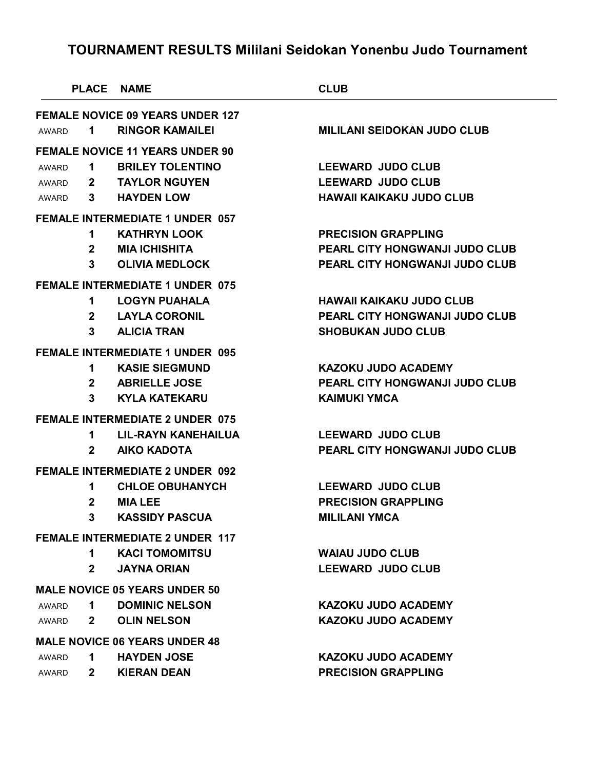|              | <b>PLACE NAME</b> |                                         | <b>CLUB</b>                        |
|--------------|-------------------|-----------------------------------------|------------------------------------|
|              |                   | <b>FEMALE NOVICE 09 YEARS UNDER 127</b> |                                    |
| AWARD        | $\mathbf 1$       | <b>RINGOR KAMAILEI</b>                  | <b>MILILANI SEIDOKAN JUDO CLUB</b> |
|              |                   | <b>FEMALE NOVICE 11 YEARS UNDER 90</b>  |                                    |
| AWARD        | $\mathbf 1$       | <b>BRILEY TOLENTINO</b>                 | <b>LEEWARD JUDO CLUB</b>           |
| AWARD        |                   | 2 TAYLOR NGUYEN                         | <b>LEEWARD JUDO CLUB</b>           |
| AWARD        | $3^{\circ}$       | <b>HAYDEN LOW</b>                       | <b>HAWAII KAIKAKU JUDO CLUB</b>    |
|              |                   | <b>FEMALE INTERMEDIATE 1 UNDER 057</b>  |                                    |
|              | 1.                | <b>KATHRYN LOOK</b>                     | <b>PRECISION GRAPPLING</b>         |
|              | $\mathbf{2}$      | <b>MIA ICHISHITA</b>                    | PEARL CITY HONGWANJI JUDO CLUB     |
|              | 3                 | <b>OLIVIA MEDLOCK</b>                   | PEARL CITY HONGWANJI JUDO CLUB     |
|              |                   | <b>FEMALE INTERMEDIATE 1 UNDER 075</b>  |                                    |
|              | 1                 | <b>LOGYN PUAHALA</b>                    | <b>HAWAII KAIKAKU JUDO CLUB</b>    |
|              | $\mathbf{2}$      | <b>LAYLA CORONIL</b>                    | PEARL CITY HONGWANJI JUDO CLUB     |
|              | 3                 | <b>ALICIA TRAN</b>                      | <b>SHOBUKAN JUDO CLUB</b>          |
|              |                   | <b>FEMALE INTERMEDIATE 1 UNDER 095</b>  |                                    |
|              | 1                 | <b>KASIE SIEGMUND</b>                   | <b>KAZOKU JUDO ACADEMY</b>         |
|              |                   | 2 ABRIELLE JOSE                         | PEARL CITY HONGWANJI JUDO CLUB     |
|              | 3                 | <b>KYLA KATEKARU</b>                    | <b>KAIMUKI YMCA</b>                |
|              |                   | <b>FEMALE INTERMEDIATE 2 UNDER 075</b>  |                                    |
|              | 1.                | <b>LIL-RAYN KANEHAILUA</b>              | <b>LEEWARD JUDO CLUB</b>           |
|              | $\mathbf{2}$      | <b>AIKO KADOTA</b>                      | PEARL CITY HONGWANJI JUDO CLUB     |
|              |                   | <b>FEMALE INTERMEDIATE 2 UNDER 092</b>  |                                    |
|              | 1                 | <b>CHLOE OBUHANYCH</b>                  | <b>LEEWARD JUDO CLUB</b>           |
|              | $\mathbf{2}$      | <b>MIA LEE</b>                          | <b>PRECISION GRAPPLING</b>         |
|              | 3 <sup>7</sup>    | <b>KASSIDY PASCUA</b>                   | <b>MILILANI YMCA</b>               |
|              |                   | <b>FEMALE INTERMEDIATE 2 UNDER 117</b>  |                                    |
|              | 1                 | <b>KACI TOMOMITSU</b>                   | <b>WAIAU JUDO CLUB</b>             |
|              | $\mathbf{2}$      | <b>JAYNA ORIAN</b>                      | <b>LEEWARD JUDO CLUB</b>           |
|              |                   | <b>MALE NOVICE 05 YEARS UNDER 50</b>    |                                    |
| <b>AWARD</b> | 1                 | <b>DOMINIC NELSON</b>                   | <b>KAZOKU JUDO ACADEMY</b>         |
| AWARD        | $\mathbf{2}$      | <b>OLIN NELSON</b>                      | <b>KAZOKU JUDO ACADEMY</b>         |
|              |                   | <b>MALE NOVICE 06 YEARS UNDER 48</b>    |                                    |
| AWARD        | 1.                | <b>HAYDEN JOSE</b>                      | KAZOKU JUDO ACADEMY                |
|              |                   |                                         |                                    |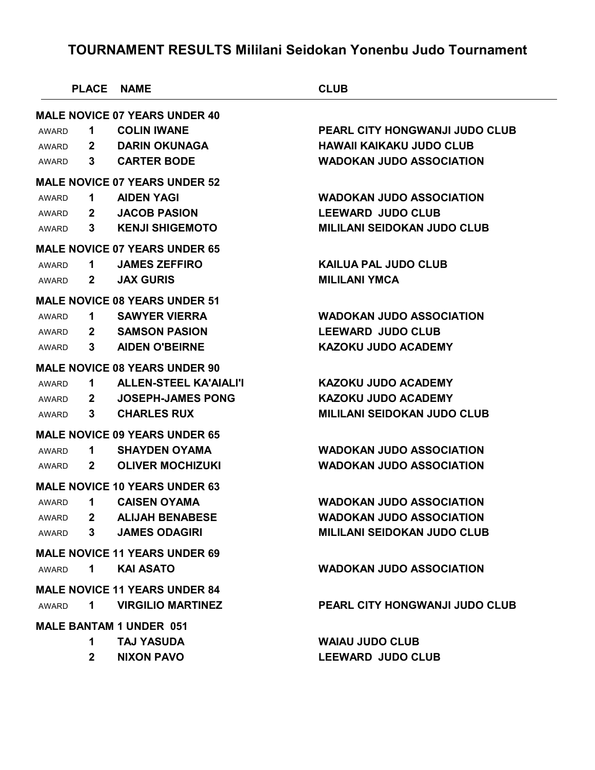|              | <b>PLACE</b>    | NAME                                 | <b>CLUB</b>                        |
|--------------|-----------------|--------------------------------------|------------------------------------|
|              |                 | <b>MALE NOVICE 07 YEARS UNDER 40</b> |                                    |
| AWARD        | 1               | <b>COLIN IWANE</b>                   | PEARL CITY HONGWANJI JUDO CLUB     |
| AWARD        | $\mathbf{2}$    | <b>DARIN OKUNAGA</b>                 | <b>HAWAII KAIKAKU JUDO CLUB</b>    |
| AWARD        | $3\phantom{.0}$ | <b>CARTER BODE</b>                   | <b>WADOKAN JUDO ASSOCIATION</b>    |
|              |                 | <b>MALE NOVICE 07 YEARS UNDER 52</b> |                                    |
| AWARD        | 1               | <b>AIDEN YAGI</b>                    | <b>WADOKAN JUDO ASSOCIATION</b>    |
| AWARD        | $\mathbf{2}$    | <b>JACOB PASION</b>                  | <b>LEEWARD JUDO CLUB</b>           |
| AWARD        | 3               | <b>KENJI SHIGEMOTO</b>               | <b>MILILANI SEIDOKAN JUDO CLUB</b> |
|              |                 | <b>MALE NOVICE 07 YEARS UNDER 65</b> |                                    |
| AWARD        | 1               | <b>JAMES ZEFFIRO</b>                 | <b>KAILUA PAL JUDO CLUB</b>        |
| AWARD        | $\mathbf{2}$    | <b>JAX GURIS</b>                     | <b>MILILANI YMCA</b>               |
|              |                 | <b>MALE NOVICE 08 YEARS UNDER 51</b> |                                    |
| AWARD        | 1               | <b>SAWYER VIERRA</b>                 | <b>WADOKAN JUDO ASSOCIATION</b>    |
| AWARD        | $\mathbf{2}$    | <b>SAMSON PASION</b>                 | <b>LEEWARD JUDO CLUB</b>           |
| AWARD        | 3               | <b>AIDEN O'BEIRNE</b>                | <b>KAZOKU JUDO ACADEMY</b>         |
|              |                 | <b>MALE NOVICE 08 YEARS UNDER 90</b> |                                    |
| AWARD        | 1.              | <b>ALLEN-STEEL KA'AIALI'I</b>        | <b>KAZOKU JUDO ACADEMY</b>         |
| AWARD        | $\mathbf{2}$    | <b>JOSEPH-JAMES PONG</b>             | <b>KAZOKU JUDO ACADEMY</b>         |
| AWARD        | 3               | <b>CHARLES RUX</b>                   | <b>MILILANI SEIDOKAN JUDO CLUB</b> |
|              |                 | <b>MALE NOVICE 09 YEARS UNDER 65</b> |                                    |
| AWARD        | 1.              | <b>SHAYDEN OYAMA</b>                 | <b>WADOKAN JUDO ASSOCIATION</b>    |
| AWARD        | $\mathbf{2}$    | <b>OLIVER MOCHIZUKI</b>              | <b>WADOKAN JUDO ASSOCIATION</b>    |
|              |                 | <b>MALE NOVICE 10 YEARS UNDER 63</b> |                                    |
| <b>AWARD</b> | 1               | <b>CAISEN OYAMA</b>                  | <b>WADOKAN JUDO ASSOCIATION</b>    |
| AWARD        | $\mathbf{2}$    | <b>ALIJAH BENABESE</b>               | WADOKAN JUDO ASSOCIATION           |
| AWARD        | $3\phantom{.0}$ | <b>JAMES ODAGIRI</b>                 | <b>MILILANI SEIDOKAN JUDO CLUB</b> |
|              |                 | <b>MALE NOVICE 11 YEARS UNDER 69</b> |                                    |
| <b>AWARD</b> | 1               | <b>KAI ASATO</b>                     | <b>WADOKAN JUDO ASSOCIATION</b>    |
|              |                 | <b>MALE NOVICE 11 YEARS UNDER 84</b> |                                    |
| <b>AWARD</b> | 1               | <b>VIRGILIO MARTINEZ</b>             | PEARL CITY HONGWANJI JUDO CLUB     |
|              |                 | <b>MALE BANTAM 1 UNDER 051</b>       |                                    |
|              | 1               | <b>TAJ YASUDA</b>                    | <b>WAIAU JUDO CLUB</b>             |
|              | $\mathbf{2}$    | <b>NIXON PAVO</b>                    | <b>LEEWARD JUDO CLUB</b>           |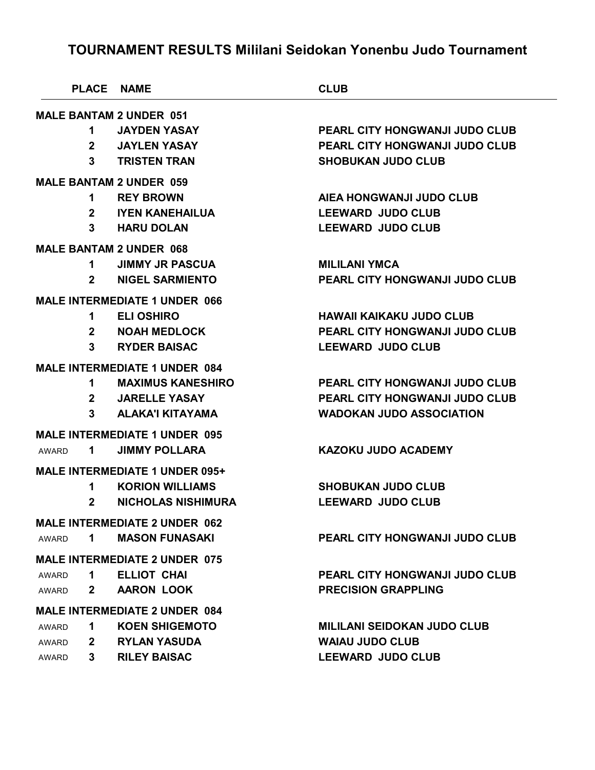|                              | PLACE NAME                            | <b>CLUB</b>                           |
|------------------------------|---------------------------------------|---------------------------------------|
|                              | <b>MALE BANTAM 2 UNDER 051</b>        |                                       |
| 1.                           | <b>JAYDEN YASAY</b>                   | PEARL CITY HONGWANJI JUDO CLUB        |
| $\mathbf{2}$                 | <b>JAYLEN YASAY</b>                   | <b>PEARL CITY HONGWANJI JUDO CLUB</b> |
| 3                            | <b>TRISTEN TRAN</b>                   | <b>SHOBUKAN JUDO CLUB</b>             |
|                              | <b>MALE BANTAM 2 UNDER 059</b>        |                                       |
| 1.                           | <b>REY BROWN</b>                      | AIEA HONGWANJI JUDO CLUB              |
| $\mathbf{2}$                 | <b>IYEN KANEHAILUA</b>                | <b>LEEWARD JUDO CLUB</b>              |
| 3                            | <b>HARU DOLAN</b>                     | <b>LEEWARD JUDO CLUB</b>              |
|                              | <b>MALE BANTAM 2 UNDER 068</b>        |                                       |
| 1.                           | <b>JIMMY JR PASCUA</b>                | <b>MILILANI YMCA</b>                  |
| $\mathbf{2}$                 | <b>NIGEL SARMIENTO</b>                | PEARL CITY HONGWANJI JUDO CLUB        |
|                              | <b>MALE INTERMEDIATE 1 UNDER 066</b>  |                                       |
| 1.                           | <b>ELI OSHIRO</b>                     | <b>HAWAII KAIKAKU JUDO CLUB</b>       |
| $\mathbf{2}$                 | <b>NOAH MEDLOCK</b>                   | <b>PEARL CITY HONGWANJI JUDO CLUB</b> |
| 3                            | <b>RYDER BAISAC</b>                   | <b>LEEWARD JUDO CLUB</b>              |
|                              | <b>MALE INTERMEDIATE 1 UNDER 084</b>  |                                       |
| 1.                           | <b>MAXIMUS KANESHIRO</b>              | <b>PEARL CITY HONGWANJI JUDO CLUB</b> |
| $\mathbf{2}$                 | <b>JARELLE YASAY</b>                  | <b>PEARL CITY HONGWANJI JUDO CLUB</b> |
| 3                            | <b>ALAKA'I KITAYAMA</b>               | <b>WADOKAN JUDO ASSOCIATION</b>       |
|                              | <b>MALE INTERMEDIATE 1 UNDER 095</b>  |                                       |
| 1<br>AWARD                   | <b>JIMMY POLLARA</b>                  | <b>KAZOKU JUDO ACADEMY</b>            |
|                              | <b>MALE INTERMEDIATE 1 UNDER 095+</b> |                                       |
| 1.                           | <b>KORION WILLIAMS</b>                | <b>SHOBUKAN JUDO CLUB</b>             |
| $\mathbf{2}$                 | <b>NICHOLAS NISHIMURA</b>             | <b>LEEWARD JUDO CLUB</b>              |
|                              | <b>MALE INTERMEDIATE 2 UNDER 062</b>  |                                       |
| 1<br>AWARD                   | <b>MASON FUNASAKI</b>                 | <b>PEARL CITY HONGWANJI JUDO CLUB</b> |
|                              | <b>MALE INTERMEDIATE 2 UNDER 075</b>  |                                       |
| 1<br><b>AWARD</b>            | ELLIOT CHAI                           | <b>PEARL CITY HONGWANJI JUDO CLUB</b> |
| $\mathbf{2}$<br>AWARD        | <b>AARON LOOK</b>                     | <b>PRECISION GRAPPLING</b>            |
|                              | <b>MALE INTERMEDIATE 2 UNDER 084</b>  |                                       |
| 1<br><b>AWARD</b>            | <b>KOEN SHIGEMOTO</b>                 | <b>MILILANI SEIDOKAN JUDO CLUB</b>    |
| <b>AWARD</b><br>$\mathbf{2}$ | <b>RYLAN YASUDA</b>                   | <b>WAIAU JUDO CLUB</b>                |
| 3.<br><b>AWARD</b>           | <b>RILEY BAISAC</b>                   | <b>LEEWARD JUDO CLUB</b>              |